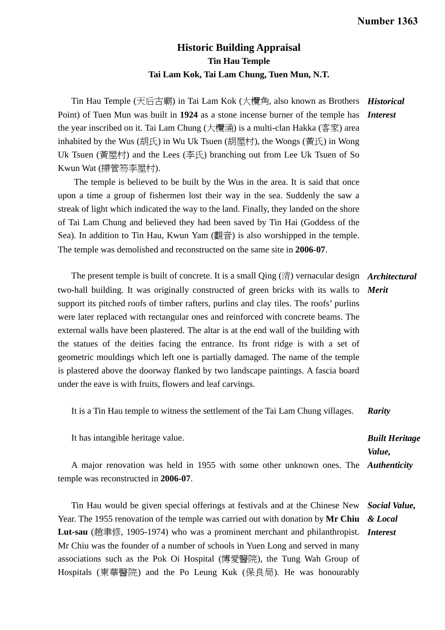## **Historic Building Appraisal Tin Hau Temple Tai Lam Kok, Tai Lam Chung, Tuen Mun, N.T.**

Tin Hau Temple (天后古廟) in Tai Lam Kok (大欖角, also known as Brothers *Historical*  Point) of Tuen Mun was built in **1924** as a stone incense burner of the temple has *Interest*  the year inscribed on it. Tai Lam Chung (大欖涌) is a multi-clan Hakka (客家) area inhabited by the Wus (胡氏) in Wu Uk Tsuen (胡屋村), the Wongs (黃氏) in Wong Uk Tsuen (黃屋村) and the Lees (李氏) branching out from Lee Uk Tsuen of So Kwun Wat (掃管笏李屋村).

The temple is believed to be built by the Wus in the area. It is said that once upon a time a group of fishermen lost their way in the sea. Suddenly the saw a streak of light which indicated the way to the land. Finally, they landed on the shore of Tai Lam Chung and believed they had been saved by Tin Hai (Goddess of the Sea). In addition to Tin Hau, Kwun Yam (觀音) is also worshipped in the temple. The temple was demolished and reconstructed on the same site in **2006-07**.

 The present temple is built of concrete. It is a small Qing (清) vernacular design *Architectural*  two-hall building. It was originally constructed of green bricks with its walls to *Merit*  support its pitched roofs of timber rafters, purlins and clay tiles. The roofs' purlins were later replaced with rectangular ones and reinforced with concrete beams. The external walls have been plastered. The altar is at the end wall of the building with the statues of the deities facing the entrance. Its front ridge is with a set of geometric mouldings which left one is partially damaged. The name of the temple is plastered above the doorway flanked by two landscape paintings. A fascia board under the eave is with fruits, flowers and leaf carvings.

It is a Tin Hau temple to witness the settlement of the Tai Lam Chung villages. *Rarity* 

It has intangible heritage value.

*Built Heritage Value,* 

 A major renovation was held in 1955 with some other unknown ones. The *Authenticity*  temple was reconstructed in **2006-07**.

 Tin Hau would be given special offerings at festivals and at the Chinese New Year. The 1955 renovation of the temple was carried out with donation by **Mr Chiu Lut-sau** (趙聿修, 1905-1974) who was a prominent merchant and philanthropist. *Interest*  Mr Chiu was the founder of a number of schools in Yuen Long and served in many associations such as the Pok Oi Hospital (博愛醫院), the Tung Wah Group of Hospitals (東華醫院) and the Po Leung Kuk (保良局). He was honourably *Social Value, & Local*